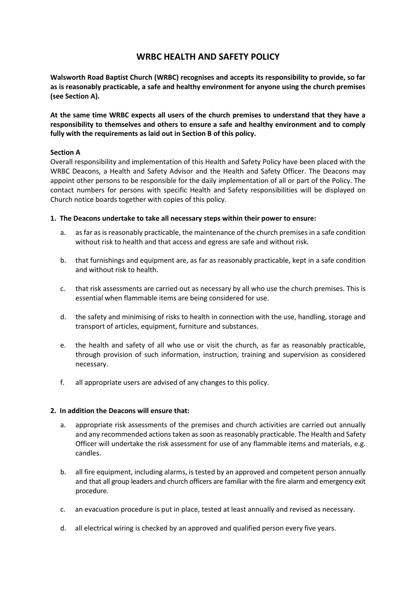# **WRBC HEALTH AND SAFETY POLICY**

**Walsworth Road Baptist Church (WRBC) recognises and accepts its responsibility to provide, so far as is reasonably practicable, a safe and healthy environment for anyone using the church premises (see Section A).**

**At the same time WRBC expects all users of the church premises to understand that they have a responsibility to themselves and others to ensure a safe and healthy environment and to comply fully with the requirements as laid out in Section B of this policy.**

### **Section A**

Overall responsibility and implementation of this Health and Safety Policy have been placed with the WRBC Deacons, a Health and Safety Advisor and the Health and Safety Officer. The Deacons may appoint other persons to be responsible for the daily implementation of all or part of the Policy. The contact numbers for persons with specific Health and Safety responsibilities will be displayed on Church notice boards together with copies of this policy.

#### **1. The Deacons undertake to take all necessary steps within their power to ensure:**

- a. as far as is reasonably practicable, the maintenance of the church premises in a safe condition without risk to health and that access and egress are safe and without risk.
- b. that furnishings and equipment are, as far as reasonably practicable, kept in a safe condition and without risk to health.
- c. that risk assessments are carried out as necessary by all who use the church premises. This is essential when flammable items are being considered for use.
- d. the safety and minimising of risks to health in connection with the use, handling, storage and transport of articles, equipment, furniture and substances.
- e. the health and safety of all who use or visit the church, as far as reasonably practicable, through provision of such information, instruction, training and supervision as considered necessary.
- f. all appropriate users are advised of any changes to this policy.

#### **2. In addition the Deacons will ensure that:**

- a. appropriate risk assessments of the premises and church activities are carried out annually and any recommended actions taken as soon as reasonably practicable. The Health and Safety Officer will undertake the risk assessment for use of any flammable items and materials, e.g. candles.
- b. all fire equipment, including alarms, is tested by an approved and competent person annually and that all group leaders and church officers are familiar with the fire alarm and emergency exit procedure.
- c. an evacuation procedure is put in place, tested at least annually and revised as necessary.
- d. all electrical wiring is checked by an approved and qualified person every five years.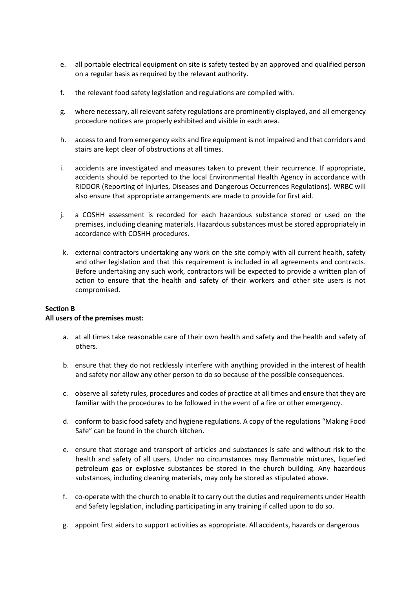- e. all portable electrical equipment on site is safety tested by an approved and qualified person on a regular basis as required by the relevant authority.
- f. the relevant food safety legislation and regulations are complied with.
- g. where necessary, all relevant safety regulations are prominently displayed, and all emergency procedure notices are properly exhibited and visible in each area.
- h. access to and from emergency exits and fire equipment is not impaired and that corridors and stairs are kept clear of obstructions at all times.
- i. accidents are investigated and measures taken to prevent their recurrence. If appropriate, accidents should be reported to the local Environmental Health Agency in accordance with RIDDOR (Reporting of Injuries, Diseases and Dangerous Occurrences Regulations). WRBC will also ensure that appropriate arrangements are made to provide for first aid.
- j. a COSHH assessment is recorded for each hazardous substance stored or used on the premises, including cleaning materials. Hazardous substances must be stored appropriately in accordance with COSHH procedures.
- k. external contractors undertaking any work on the site comply with all current health, safety and other legislation and that this requirement is included in all agreements and contracts. Before undertaking any such work, contractors will be expected to provide a written plan of action to ensure that the health and safety of their workers and other site users is not compromised.

# **Section B**

### **All users of the premises must:**

- a. at all times take reasonable care of their own health and safety and the health and safety of others.
- b. ensure that they do not recklessly interfere with anything provided in the interest of health and safety nor allow any other person to do so because of the possible consequences.
- c. observe allsafety rules, procedures and codes of practice at all times and ensure that they are familiar with the procedures to be followed in the event of a fire or other emergency.
- d. conform to basic food safety and hygiene regulations. A copy of the regulations "Making Food Safe" can be found in the church kitchen.
- e. ensure that storage and transport of articles and substances is safe and without risk to the health and safety of all users. Under no circumstances may flammable mixtures, liquefied petroleum gas or explosive substances be stored in the church building. Any hazardous substances, including cleaning materials, may only be stored as stipulated above.
- f. co-operate with the church to enable it to carry out the duties and requirements under Health and Safety legislation, including participating in any training if called upon to do so.
- g. appoint first aiders to support activities as appropriate. All accidents, hazards or dangerous